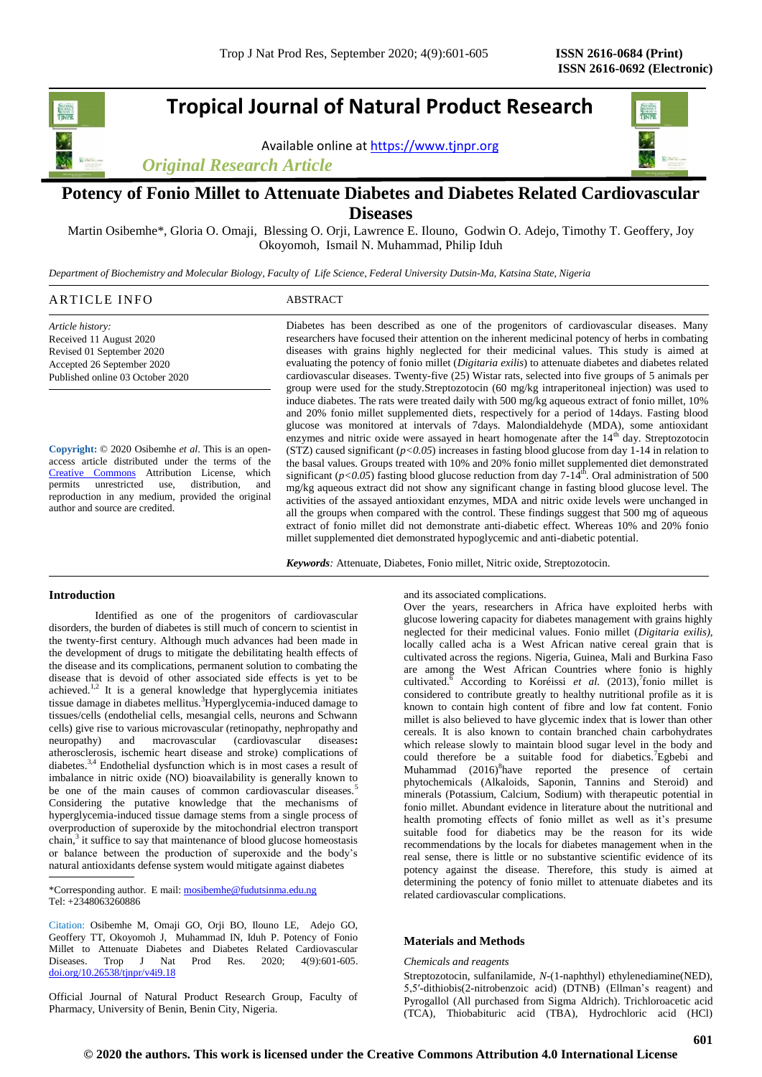**Tropical Journal of Natural Product Research**

Available online a[t https://www.tjnpr.org](https://www.tjnpr.org/)





# **Potency of Fonio Millet to Attenuate Diabetes and Diabetes Related Cardiovascular Diseases**

Martin Osibemhe\*, Gloria O. Omaji, Blessing O. Orji, Lawrence E. Ilouno, Godwin O. Adejo, Timothy T. Geoffery, Joy Okoyomoh, Ismail N. Muhammad, Philip Iduh

*Department of Biochemistry and Molecular Biology, Faculty of Life Science, Federal University Dutsin-Ma, Katsina State, Nigeria*

# ARTICLE INFO ABSTRACT

*Article history:* Received 11 August 2020 Revised 01 September 2020 Accepted 26 September 2020 Published online 03 October 2020

**Copyright:** © 2020 Osibemhe *et al*. This is an openaccess article distributed under the terms of the [Creative Commons](https://creativecommons.org/licenses/by/4.0/) Attribution License, which permits unrestricted use, distribution, and reproduction in any medium, provided the original author and source are credited.

Diabetes has been described as one of the progenitors of cardiovascular diseases. Many researchers have focused their attention on the inherent medicinal potency of herbs in combating diseases with grains highly neglected for their medicinal values. This study is aimed at evaluating the potency of fonio millet (*Digitaria exilis*) to attenuate diabetes and diabetes related cardiovascular diseases. Twenty-five (25) Wistar rats, selected into five groups of 5 animals per group were used for the study.Streptozotocin (60 mg/kg intraperitoneal injection) was used to induce diabetes. The rats were treated daily with 500 mg/kg aqueous extract of fonio millet, 10% and 20% fonio millet supplemented diets, respectively for a period of 14days. Fasting blood glucose was monitored at intervals of 7days. Malondialdehyde (MDA), some antioxidant enzymes and nitric oxide were assayed in heart homogenate after the  $14<sup>th</sup>$  day. Streptozotocin (STZ) caused significant  $(p<0.05)$  increases in fasting blood glucose from day 1-14 in relation to the basal values. Groups treated with 10% and 20% fonio millet supplemented diet demonstrated significant ( $p$ <0.05) fasting blood glucose reduction from day  $7-14<sup>th</sup>$ . Oral administration of 500 mg/kg aqueous extract did not show any significant change in fasting blood glucose level. The activities of the assayed antioxidant enzymes, MDA and nitric oxide levels were unchanged in all the groups when compared with the control. These findings suggest that 500 mg of aqueous extract of fonio millet did not demonstrate anti-diabetic effect. Whereas 10% and 20% fonio millet supplemented diet demonstrated hypoglycemic and anti-diabetic potential.

*Keywords:* Attenuate, Diabetes, Fonio millet, Nitric oxide, Streptozotocin.

## **Introduction**

Identified as one of the progenitors of cardiovascular disorders, the burden of diabetes is still much of concern to scientist in the twenty-first century. Although much advances had been made in the development of drugs to mitigate the debilitating health effects of the disease and its complications, permanent solution to combating the disease that is devoid of other associated side effects is yet to be achieved. $1,2$  It is a general knowledge that hyperglycemia initiates tissue damage in diabetes mellitus.<sup>3</sup>Hyperglycemia-induced damage to tissues/cells (endothelial cells, mesangial cells, neurons and Schwann cells) give rise to various microvascular (retinopathy, nephropathy and neuropathy) and macrovascular (cardiovascular diseases**:** atherosclerosis, ischemic heart disease and stroke) complications of diabetes.3,4 Endothelial dysfunction which is in most cases a result of imbalance in nitric oxide (NO) bioavailability is generally known to be one of the main causes of common cardiovascular diseases.<sup>5</sup> Considering the putative knowledge that the mechanisms of hyperglycemia-induced tissue damage stems from a single process of overproduction of superoxide by the mitochondrial electron transport chain,<sup>3</sup> it suffice to say that maintenance of blood glucose homeostasis or balance between the production of superoxide and the body's natural antioxidants defense system would mitigate against diabetes

\*Corresponding author. E mail[: mosibemhe@fudutsinma.edu.ng](mailto:mosibemhe@fudutsinma.edu.ng) Tel: +2348063260886

Citation: Osibemhe M, Omaji GO, Orji BO, Ilouno LE, Adejo GO, Geoffery TT, Okoyomoh J, Muhammad IN, Iduh P. Potency of Fonio Millet to Attenuate Diabetes and Diabetes Related Cardiovascular Diseases. Trop J Nat Prod Res. 2020; 4(9):601-605. [doi.org/10.26538/tjnpr/v4i9.1](http://www.doi.org/10.26538/tjnpr/v1i4.5)8

Official Journal of Natural Product Research Group, Faculty of Pharmacy, University of Benin, Benin City, Nigeria.

and its associated complications.

Over the years, researchers in Africa have exploited herbs with glucose lowering capacity for diabetes management with grains highly neglected for their medicinal values. Fonio millet (*Digitaria exilis),*  locally called acha is a West African native cereal grain that is cultivated across the regions. Nigeria, Guinea, Mali and Burkina Faso are among the West African Countries where fonio is highly cultivated.<sup>6</sup> According to Koréissi et al. (2013),<sup>7</sup>fonio millet is considered to contribute greatly to healthy nutritional profile as it is known to contain high content of fibre and low fat content. Fonio millet is also believed to have glycemic index that is lower than other cereals. It is also known to contain branched chain carbohydrates which release slowly to maintain blood sugar level in the body and could therefore be a suitable food for diabetics.<sup>7</sup>Egbebi and Muhammad (2016)<sup>8</sup>have reported the presence of certain phytochemicals (Alkaloids, Saponin, Tannins and Steroid) and minerals (Potassium, Calcium, Sodium) with therapeutic potential in fonio millet. Abundant evidence in literature about the nutritional and health promoting effects of fonio millet as well as it's presume suitable food for diabetics may be the reason for its wide recommendations by the locals for diabetes management when in the real sense, there is little or no substantive scientific evidence of its potency against the disease. Therefore, this study is aimed at determining the potency of fonio millet to attenuate diabetes and its related cardiovascular complications.

## **Materials and Methods**

### *Chemicals and reagents*

Streptozotocin, sulfanilamide, *N*-(1-naphthyl) ethylenediamine(NED), 5,5′-dithiobis(2-nitrobenzoic acid) (DTNB) (Ellman's reagent) and Pyrogallol (All purchased from Sigma Aldrich). Trichloroacetic acid (TCA), Thiobabituric acid (TBA), Hydrochloric acid (HCl)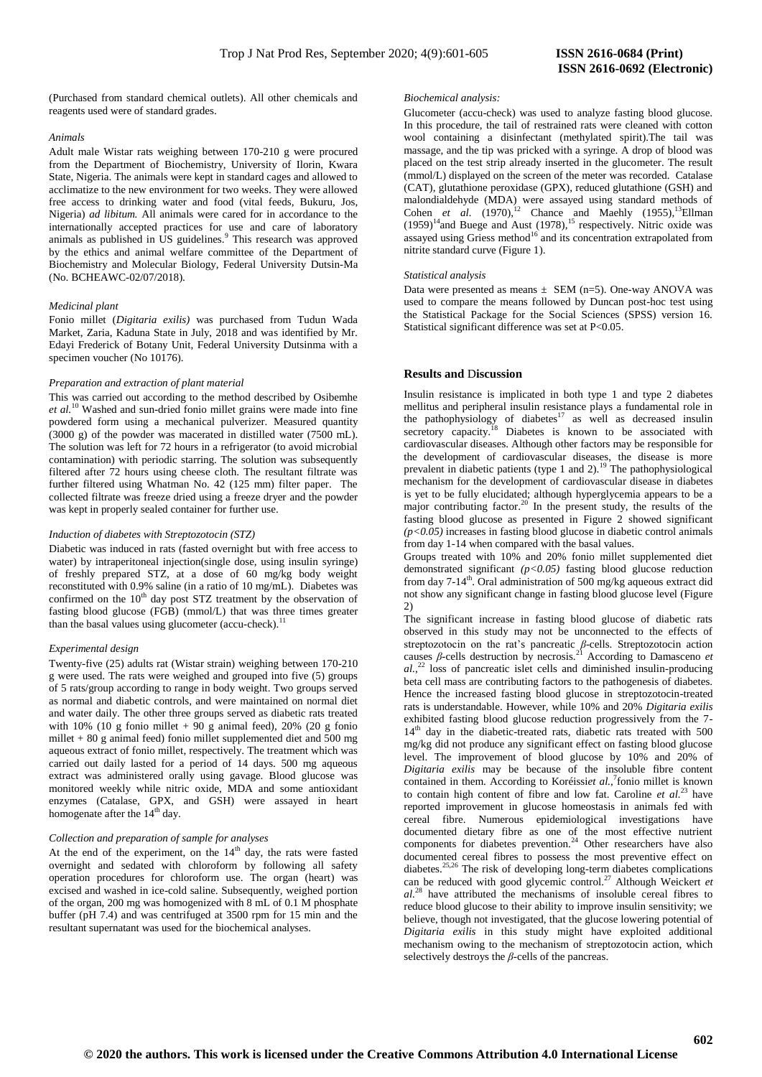(Purchased from standard chemical outlets). All other chemicals and reagents used were of standard grades.

#### *Animals*

Adult male Wistar rats weighing between 170-210 g were procured from the Department of Biochemistry, University of Ilorin, Kwara State, Nigeria. The animals were kept in standard cages and allowed to acclimatize to the new environment for two weeks. They were allowed free access to drinking water and food (vital feeds, Bukuru, Jos, Nigeria) *ad libitum.* All animals were cared for in accordance to the internationally accepted practices for use and care of laboratory animals as published in US guidelines.<sup>9</sup> This research was approved by the ethics and animal welfare committee of the Department of Biochemistry and Molecular Biology, Federal University Dutsin-Ma (No. BCHEAWC-02/07/2018).

### *Medicinal plant*

Fonio millet (*Digitaria exilis)* was purchased from Tudun Wada Market, Zaria, Kaduna State in July, 2018 and was identified by Mr. Edayi Frederick of Botany Unit, Federal University Dutsinma with a specimen voucher (No 10176).

# *Preparation and extraction of plant material*

This was carried out according to the method described by Osibemhe *et al.*<sup>10</sup> Washed and sun-dried fonio millet grains were made into fine powdered form using a mechanical pulverizer. Measured quantity (3000 g) of the powder was macerated in distilled water (7500 mL). The solution was left for 72 hours in a refrigerator (to avoid microbial contamination) with periodic starring. The solution was subsequently filtered after 72 hours using cheese cloth. The resultant filtrate was further filtered using Whatman No. 42 (125 mm) filter paper. The collected filtrate was freeze dried using a freeze dryer and the powder was kept in properly sealed container for further use.

#### *Induction of diabetes with Streptozotocin (STZ)*

Diabetic was induced in rats (fasted overnight but with free access to water) by intraperitoneal injection(single dose, using insulin syringe) of freshly prepared STZ, at a dose of 60 mg/kg body weight reconstituted with 0.9% saline (in a ratio of 10 mg/mL). Diabetes was confirmed on the 10<sup>th</sup> day post STZ treatment by the observation of fasting blood glucose (FGB) (mmol/L) that was three times greater than the basal values using glucometer (accu-check).<sup>1</sup>

#### *Experimental design*

Twenty-five (25) adults rat (Wistar strain) weighing between 170-210 g were used. The rats were weighed and grouped into five (5) groups of 5 rats/group according to range in body weight. Two groups served as normal and diabetic controls, and were maintained on normal diet and water daily. The other three groups served as diabetic rats treated with  $10\%$  (10 g fonio millet + 90 g animal feed), 20% (20 g fonio millet + 80 g animal feed) fonio millet supplemented diet and 500 mg aqueous extract of fonio millet, respectively. The treatment which was carried out daily lasted for a period of 14 days. 500 mg aqueous extract was administered orally using gavage. Blood glucose was monitored weekly while nitric oxide, MDA and some antioxidant enzymes (Catalase, GPX, and GSH) were assayed in heart homogenate after the  $14<sup>th</sup>$  day.

#### *Collection and preparation of sample for analyses*

At the end of the experiment, on the  $14<sup>th</sup>$  day, the rats were fasted overnight and sedated with chloroform by following all safety operation procedures for chloroform use. The organ (heart) was excised and washed in ice-cold saline. Subsequently, weighed portion of the organ, 200 mg was homogenized with 8 mL of 0.1 M phosphate buffer (pH 7.4) and was centrifuged at 3500 rpm for 15 min and the resultant supernatant was used for the biochemical analyses.

#### *Biochemical analysis:*

Glucometer (accu-check) was used to analyze fasting blood glucose. In this procedure, the tail of restrained rats were cleaned with cotton wool containing a disinfectant (methylated spirit).The tail was massage, and the tip was pricked with a syringe. A drop of blood was placed on the test strip already inserted in the glucometer. The result (mmol/L) displayed on the screen of the meter was recorded. Catalase (CAT), glutathione peroxidase (GPX), reduced glutathione (GSH) and malondialdehyde (MDA) were assayed using standard methods of Cohen *et al.*  $(1970)^{12}$  Chance and Maehly  $(1955)^{13}$ Ellman  $(1959)^{14}$ and Buege and Aust  $(1978)$ , <sup>15</sup> respectively. Nitric oxide was assayed using Griess method<sup>16</sup> and its concentration extrapolated from nitrite standard curve (Figure 1).

#### *Statistical analysis*

Data were presented as means  $\pm$  SEM (n=5). One-way ANOVA was used to compare the means followed by Duncan post-hoc test using the Statistical Package for the Social Sciences (SPSS) version 16. Statistical significant difference was set at P<0.05.

## **Results and** D**iscussion**

Insulin resistance is implicated in both type 1 and type 2 diabetes mellitus and peripheral insulin resistance plays a fundamental role in the pathophysiology of diabetes<sup>17</sup> as well as decreased insulin secretory capacity.<sup>18</sup> Diabetes is known to be associated with cardiovascular diseases. Although other factors may be responsible for the development of cardiovascular diseases, the disease is more prevalent in diabetic patients (type 1 and 2).<sup>19</sup> The pathophysiological mechanism for the development of cardiovascular disease in diabetes is yet to be fully elucidated; although hyperglycemia appears to be a major contributing factor.<sup>20</sup> In the present study, the results of the fasting blood glucose as presented in Figure 2 showed significant  $(p<0.05)$  increases in fasting blood glucose in diabetic control animals from day 1-14 when compared with the basal values.

Groups treated with 10% and 20% fonio millet supplemented diet demonstrated significant *(p<0.05)* fasting blood glucose reduction from day  $7-14^{\text{th}}$ . Oral administration of 500 mg/kg aqueous extract did not show any significant change in fasting blood glucose level (Figure 2)

The significant increase in fasting blood glucose of diabetic rats observed in this study may not be unconnected to the effects of streptozotocin on the rat's pancreatic *β*-cells. Streptozotocin action causes *β*-cells destruction by necrosis.<sup>21</sup> According to Damasceno *et al.*, <sup>22</sup> loss of pancreatic islet cells and diminished insulin-producing beta cell mass are contributing factors to the pathogenesis of diabetes. Hence the increased fasting blood glucose in streptozotocin-treated rats is understandable. However, while 10% and 20% *Digitaria exilis* exhibited fasting blood glucose reduction progressively from the 7-  $14<sup>th</sup>$  day in the diabetic-treated rats, diabetic rats treated with 500 mg/kg did not produce any significant effect on fasting blood glucose level. The improvement of blood glucose by 10% and 20% of *Digitaria exilis* may be because of the insoluble fibre content contained in them. According to Koréissiet al.,<sup>7</sup> fonio millet is known to contain high content of fibre and low fat. Caroline *et al.*<sup>23</sup> have reported improvement in glucose homeostasis in animals fed with cereal fibre. Numerous epidemiological investigations have documented dietary fibre as one of the most effective nutrient components for diabetes prevention.<sup>24</sup> Other researchers have also documented cereal fibres to possess the most preventive effect on diabetes.<sup>25,26</sup> The risk of developing long-term diabetes complications can be reduced with good glycemic control.<sup>27</sup> Although Weickert *et al.*<sup>28</sup> have attributed the mechanisms of insoluble cereal fibres to reduce blood glucose to their ability to improve insulin sensitivity; we believe, though not investigated, that the glucose lowering potential of *Digitaria exilis* in this study might have exploited additional mechanism owing to the mechanism of streptozotocin action, which selectively destroys the *β*-cells of the pancreas.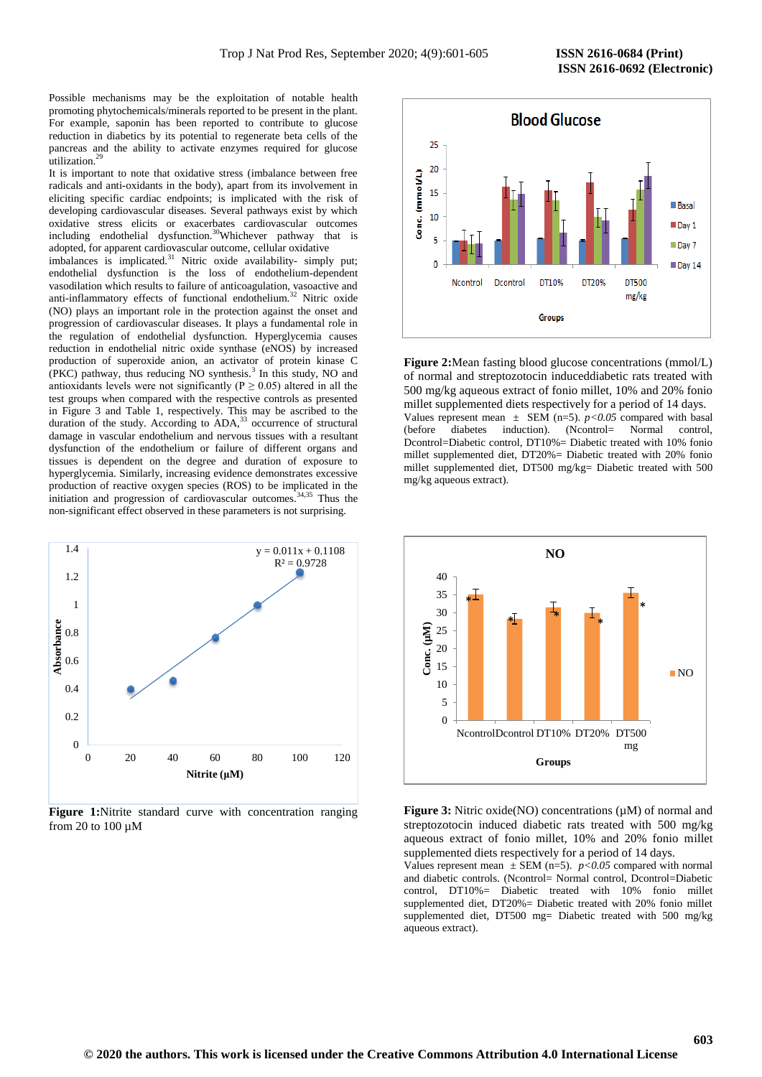Possible mechanisms may be the exploitation of notable health promoting phytochemicals/minerals reported to be present in the plant. For example, saponin has been reported to contribute to glucose reduction in diabetics by its potential to regenerate beta cells of the pancreas and the ability to activate enzymes required for glucose utilization.<sup>29</sup>

It is important to note that oxidative stress (imbalance between free radicals and anti-oxidants in the body), apart from its involvement in eliciting specific cardiac endpoints; is implicated with the risk of developing cardiovascular diseases. Several pathways exist by which oxidative stress elicits or exacerbates cardiovascular outcomes including endothelial dysfunction.<sup>30</sup>Whichever pathway that is adopted, for apparent cardiovascular outcome, cellular oxidative

imbalances is implicated.<sup>31</sup> Nitric oxide availability- simply put; endothelial dysfunction is the loss of endothelium-dependent vasodilation which results to failure of anticoagulation, vasoactive and anti-inflammatory effects of functional endothelium.<sup>32</sup> Nitric oxide (NO) plays an important role in the protection against the onset and progression of cardiovascular diseases. It plays a fundamental role in the regulation of endothelial dysfunction. Hyperglycemia causes reduction in endothelial nitric oxide synthase (eNOS) by increased production of superoxide anion, an activator of protein kinase C (PKC) pathway, thus reducing NO synthesis.<sup>3</sup> In this study, NO and antioxidants levels were not significantly ( $P \ge 0.05$ ) altered in all the test groups when compared with the respective controls as presented in Figure 3 and Table 1, respectively. This may be ascribed to the duration of the study. According to  $ADA$ ,<sup>33</sup> occurrence of structural damage in vascular endothelium and nervous tissues with a resultant dysfunction of the endothelium or failure of different organs and tissues is dependent on the degree and duration of exposure to hyperglycemia. Similarly, increasing evidence demonstrates excessive production of reactive oxygen species (ROS) to be implicated in the initiation and progression of cardiovascular outcomes.<sup>34,35</sup> Thus the non-significant effect observed in these parameters is not surprising.



Figure 1:Nitrite standard curve with concentration ranging from 20 to 100 µM



**Figure 2:**Mean fasting blood glucose concentrations (mmol/L) of normal and streptozotocin induceddiabetic rats treated with 500 mg/kg aqueous extract of fonio millet, 10% and 20% fonio millet supplemented diets respectively for a period of 14 days. Values represent mean  $\pm$  SEM (n=5).  $p < 0.05$  compared with basal (before diabetes induction). (Ncontrol= Normal control, Dcontrol=Diabetic control, DT10%= Diabetic treated with 10% fonio millet supplemented diet, DT20%= Diabetic treated with 20% fonio millet supplemented diet, DT500 mg/kg= Diabetic treated with 500 mg/kg aqueous extract).



**Figure 3:** Nitric oxide(NO) concentrations ( $\mu$ M) of normal and streptozotocin induced diabetic rats treated with 500 mg/kg aqueous extract of fonio millet, 10% and 20% fonio millet supplemented diets respectively for a period of 14 days.

Values represent mean  $\pm$  SEM (n=5). *p*<0.05 compared with normal and diabetic controls. (Ncontrol= Normal control, Dcontrol=Diabetic control, DT10%= Diabetic treated with 10% fonio millet supplemented diet, DT20%= Diabetic treated with 20% fonio millet supplemented diet, DT500 mg= Diabetic treated with 500 mg/kg aqueous extract).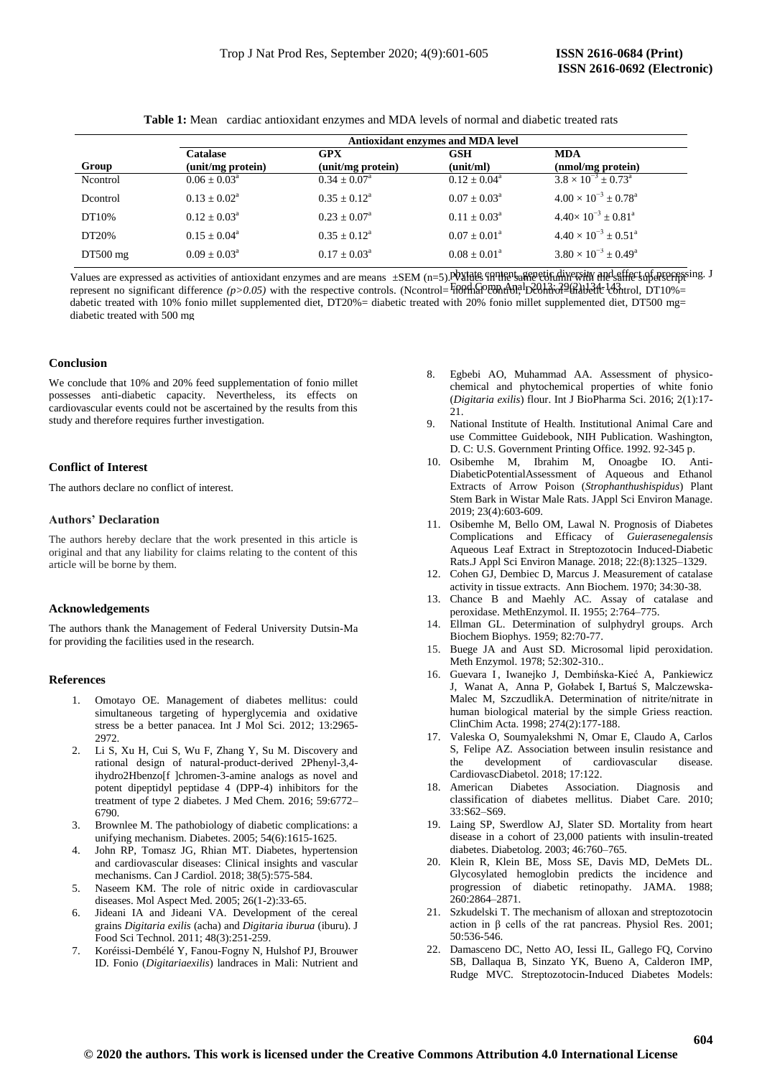|            | <b>Antioxidant enzymes and MDA level</b> |                            |                            |                                         |
|------------|------------------------------------------|----------------------------|----------------------------|-----------------------------------------|
| Group      | Catalase<br>(unit/mg protein)            | GPX<br>(unit/mg protein)   | <b>GSH</b><br>(unit/ml)    | <b>MDA</b><br>(nmol/mg protein)         |
| Ncontrol   | $0.06 \pm 0.03^{\text{a}}$               | $0.34 \pm 0.07^{\text{a}}$ | $0.12 \pm 0.04^{\text{a}}$ | $3.8 \times 10^{-3} + 0.73^{\circ}$     |
| Dcontrol   | $0.13 + 0.02^a$                          | $0.35 + 0.12^a$            | $0.07 + 0.03^a$            | $4.00 \times 10^{-3} + 0.78^{\text{a}}$ |
| DT10%      | $0.12 + 0.03^a$                          | $0.23 + 0.07^a$            | $0.11 \pm 0.03^{\text{a}}$ | $4.40\times10^{-3} + 0.81^a$            |
| DT20%      | $0.15 \pm 0.04^a$                        | $0.35 + 0.12^a$            | $0.07 + 0.01^a$            | $4.40 \times 10^{-3} + 0.51^{\text{a}}$ |
| $DT500$ mg | $0.09 + 0.03^a$                          | $0.17 + 0.03^{\text{a}}$   | $0.08 + 0.01^a$            | $3.80 \times 10^{-3} + 0.49^{\circ}$    |

**Table 1:** Mean cardiac antioxidant enzymes and MDA levels of normal and diabetic treated rats

Values are expressed as activities of antioxidant enzymes and are means  $\pm$ SEM (n=5). Values supersting diversity and effect of processing. J represent no significant difference *(p>0.05)* with the respective controls. (Ncontrol=H00HLGOPORTH), DCOH3iod=Grabetic control, DT10%= dabetic treated with 10% fonio millet supplemented diet, DT20%= diabetic treated with 20% fonio millet supplemented diet, DT500 mg= diabetic treated with 500 mg

# **Conclusion**

We conclude that 10% and 20% feed supplementation of fonio millet possesses anti-diabetic capacity. Nevertheless, its effects on cardiovascular events could not be ascertained by the results from this study and therefore requires further investigation.

# **Conflict of Interest**

The authors declare no conflict of interest.

# **Authors' Declaration**

The authors hereby declare that the work presented in this article is original and that any liability for claims relating to the content of this article will be borne by them.

## **Acknowledgements**

The authors thank the Management of Federal University Dutsin-Ma for providing the facilities used in the research.

# **References**

- 1. Omotayo OE. Management of diabetes mellitus: could simultaneous targeting of hyperglycemia and oxidative stress be a better panacea. Int J Mol Sci. 2012; 13:2965- 2972.
- 2. Li S, Xu H, Cui S, Wu F, Zhang Y, Su M. Discovery and rational design of natural-product-derived 2Phenyl-3,4 ihydro2Hbenzo[f ]chromen-3-amine analogs as novel and potent dipeptidyl peptidase 4 (DPP-4) inhibitors for the treatment of type 2 diabetes. J Med Chem. 2016; 59:6772– 6790.
- 3. Brownlee M. The pathobiology of diabetic complications: a unifying mechanism. Diabetes. 2005; 54(6):1615-1625.
- 4. John RP, Tomasz JG, Rhian MT. Diabetes, hypertension and cardiovascular diseases: Clinical insights and vascular mechanisms. Can J Cardiol. 2018; 38(5):575-584.
- 5. Naseem KM. The role of nitric oxide in cardiovascular diseases. Mol Aspect Med. 2005; 26(1-2):33-65.
- 6. Jideani IA and Jideani VA. Development of the cereal grains *Digitaria exilis* (acha) and *Digitaria iburua* (iburu). J Food Sci Technol. 2011; 48(3):251-259.
- 7. Koréissi-Dembélé Y, Fanou-Fogny N, Hulshof PJ, Brouwer ID. Fonio (*Digitariaexilis*) landraces in Mali: Nutrient and
- 8. Egbebi AO, Muhammad AA. Assessment of physicochemical and phytochemical properties of white fonio (*Digitaria exilis*) flour. Int J BioPharma Sci. 2016; 2(1):17- 21.
- 9. National Institute of Health. Institutional Animal Care and use Committee Guidebook, NIH Publication. Washington, D. C: U.S. Government Printing Office. 1992. 92-345 p.
- 10. Osibemhe M, Ibrahim M, Onoagbe IO. Anti-DiabeticPotentialAssessment of Aqueous and Ethanol Extracts of Arrow Poison (*Strophanthushispidus*) Plant Stem Bark in Wistar Male Rats. JAppl Sci Environ Manage. 2019; 23(4):603-609.
- 11. Osibemhe M, Bello OM, Lawal N. Prognosis of Diabetes Complications and Efficacy of *Guierasenegalensis* Aqueous Leaf Extract in Streptozotocin Induced-Diabetic Rats.J Appl Sci Environ Manage. 2018; 22:(8):1325–1329.
- 12. Cohen GJ, Dembiec D, Marcus J. Measurement of catalase activity in tissue extracts. Ann Biochem. 1970; 34:30-38.
- 13. Chance B and Maehly AC. Assay of catalase and peroxidase. MethEnzymol. II. 1955; 2:764–775.
- 14. Ellman GL. Determination of sulphydryl groups. Arch Biochem Biophys. 1959; 82:70-77.
- 15. Buege JA and Aust SD. Microsomal lipid peroxidation. Meth Enzymol. 1978; 52:302-310..
- 16. [Guevara](https://pubmed.ncbi.nlm.nih.gov/?term=Guevara+I&cauthor_id=9694586) I, [Iwanejko](https://pubmed.ncbi.nlm.nih.gov/?term=Iwanejko+J&cauthor_id=9694586) J, [Dembińska-Kieć](https://pubmed.ncbi.nlm.nih.gov/?term=Dembi%C5%84ska-Kie%C4%87+A&cauthor_id=9694586) A, [Pankiewicz](https://pubmed.ncbi.nlm.nih.gov/?term=Pankiewicz+J&cauthor_id=9694586)  J, [Wanat](https://pubmed.ncbi.nlm.nih.gov/?term=Wanat+A&cauthor_id=9694586) A, [Anna](https://pubmed.ncbi.nlm.nih.gov/?term=Anna+P&cauthor_id=9694586) P, [Gołabek](https://pubmed.ncbi.nlm.nih.gov/?term=Go%C5%82abek+I&cauthor_id=9694586) I, [Bartuś](https://pubmed.ncbi.nlm.nih.gov/?term=Bartu%C5%9B+S&cauthor_id=9694586) S, [Malczewska-](https://pubmed.ncbi.nlm.nih.gov/?term=Malczewska-Malec+M&cauthor_id=9694586)[Malec](https://pubmed.ncbi.nlm.nih.gov/?term=Malczewska-Malec+M&cauthor_id=9694586) M, [SzczudlikA](https://pubmed.ncbi.nlm.nih.gov/?term=Szczudlik+A&cauthor_id=9694586). Determination of nitrite/nitrate in human biological material by the simple Griess reaction. [ClinChim Acta.](https://www.ncbi.nlm.nih.gov/pubmed/9694586) 1998; 274(2):177-188.
- 17. Valeska O, Soumyalekshmi N, Omar E, Claudo A, Carlos S, Felipe AZ. Association between insulin resistance and<br>the development of cardiovascular disease. the development of cardiovascular disease. CardiovascDiabetol. 2018; 17:122.
- 18. American Diabetes Association. Diagnosis and classification of diabetes mellitus. Diabet Care. 2010; 33:S62–S69.
- 19. Laing SP, Swerdlow AJ, Slater SD. Mortality from heart disease in a cohort of 23,000 patients with insulin-treated diabetes. Diabetolog. 2003; 46:760–765.
- 20. Klein R, Klein BE, Moss SE, Davis MD, DeMets DL. Glycosylated hemoglobin predicts the incidence and progression of diabetic retinopathy. JAMA. 1988; 260:2864–2871.
- 21. Szkudelski T. The mechanism of alloxan and streptozotocin action in β cells of the rat pancreas. Physiol Res. 2001; 50:536-546.
- 22. Damasceno DC, Netto AO, Iessi IL, Gallego FQ, Corvino SB, Dallaqua B, Sinzato YK, Bueno A, Calderon IMP, Rudge MVC. Streptozotocin-Induced Diabetes Models: